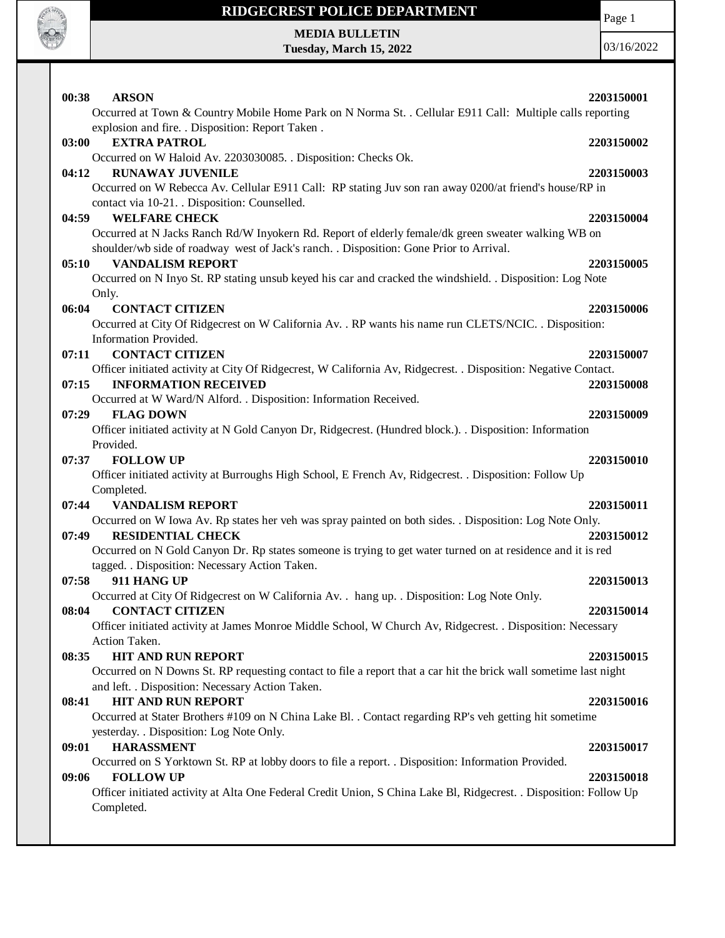

Page 1

**MEDIA BULLETIN Tuesday, March 15, 2022**

| 00:38 | <b>ARSON</b>                                                                                                       | 2203150001 |
|-------|--------------------------------------------------------------------------------------------------------------------|------------|
|       | Occurred at Town & Country Mobile Home Park on N Norma St. . Cellular E911 Call: Multiple calls reporting          |            |
| 03:00 | explosion and fire. . Disposition: Report Taken.<br><b>EXTRA PATROL</b>                                            | 2203150002 |
|       | Occurred on W Haloid Av. 2203030085. . Disposition: Checks Ok.                                                     |            |
| 04:12 | <b>RUNAWAY JUVENILE</b>                                                                                            | 2203150003 |
|       | Occurred on W Rebecca Av. Cellular E911 Call: RP stating Juv son ran away 0200/at friend's house/RP in             |            |
|       | contact via 10-21. . Disposition: Counselled.                                                                      |            |
| 04:59 | <b>WELFARE CHECK</b>                                                                                               | 2203150004 |
|       | Occurred at N Jacks Ranch Rd/W Inyokern Rd. Report of elderly female/dk green sweater walking WB on                |            |
|       | shoulder/wb side of roadway west of Jack's ranch. . Disposition: Gone Prior to Arrival.                            |            |
| 05:10 | <b>VANDALISM REPORT</b>                                                                                            | 2203150005 |
|       | Occurred on N Inyo St. RP stating unsub keyed his car and cracked the windshield. . Disposition: Log Note          |            |
|       | Only.                                                                                                              |            |
| 06:04 | <b>CONTACT CITIZEN</b>                                                                                             | 2203150006 |
|       | Occurred at City Of Ridgecrest on W California Av. . RP wants his name run CLETS/NCIC. . Disposition:              |            |
|       | Information Provided.                                                                                              |            |
| 07:11 | <b>CONTACT CITIZEN</b>                                                                                             | 2203150007 |
|       | Officer initiated activity at City Of Ridgecrest, W California Av, Ridgecrest. . Disposition: Negative Contact.    |            |
| 07:15 | <b>INFORMATION RECEIVED</b>                                                                                        | 2203150008 |
|       | Occurred at W Ward/N Alford. . Disposition: Information Received.                                                  |            |
| 07:29 | <b>FLAG DOWN</b>                                                                                                   | 2203150009 |
|       | Officer initiated activity at N Gold Canyon Dr, Ridgecrest. (Hundred block.). . Disposition: Information           |            |
|       | Provided.                                                                                                          |            |
| 07:37 | <b>FOLLOW UP</b>                                                                                                   | 2203150010 |
|       | Officer initiated activity at Burroughs High School, E French Av, Ridgecrest. . Disposition: Follow Up             |            |
|       | Completed.                                                                                                         |            |
| 07:44 | <b>VANDALISM REPORT</b>                                                                                            | 2203150011 |
|       | Occurred on W Iowa Av. Rp states her veh was spray painted on both sides. . Disposition: Log Note Only.            |            |
| 07:49 | <b>RESIDENTIAL CHECK</b>                                                                                           | 2203150012 |
|       | Occurred on N Gold Canyon Dr. Rp states someone is trying to get water turned on at residence and it is red        |            |
|       | tagged. . Disposition: Necessary Action Taken.                                                                     |            |
| 07:58 | 911 HANG UP                                                                                                        | 2203150013 |
|       | Occurred at City Of Ridgecrest on W California Av. . hang up. . Disposition: Log Note Only.                        |            |
| 08:04 | <b>CONTACT CITIZEN</b>                                                                                             | 2203150014 |
|       | Officer initiated activity at James Monroe Middle School, W Church Av, Ridgecrest. . Disposition: Necessary        |            |
|       | Action Taken.                                                                                                      |            |
| 08:35 | <b>HIT AND RUN REPORT</b>                                                                                          | 2203150015 |
|       | Occurred on N Downs St. RP requesting contact to file a report that a car hit the brick wall sometime last night   |            |
|       | and left. . Disposition: Necessary Action Taken.                                                                   |            |
| 08:41 | <b>HIT AND RUN REPORT</b>                                                                                          | 2203150016 |
|       | Occurred at Stater Brothers #109 on N China Lake Bl. . Contact regarding RP's veh getting hit sometime             |            |
|       | yesterday. . Disposition: Log Note Only.                                                                           |            |
| 09:01 | <b>HARASSMENT</b>                                                                                                  | 2203150017 |
|       | Occurred on S Yorktown St. RP at lobby doors to file a report. . Disposition: Information Provided.                |            |
| 09:06 | <b>FOLLOW UP</b>                                                                                                   | 2203150018 |
|       | Officer initiated activity at Alta One Federal Credit Union, S China Lake Bl, Ridgecrest. . Disposition: Follow Up |            |
|       | Completed.                                                                                                         |            |
|       |                                                                                                                    |            |
|       |                                                                                                                    |            |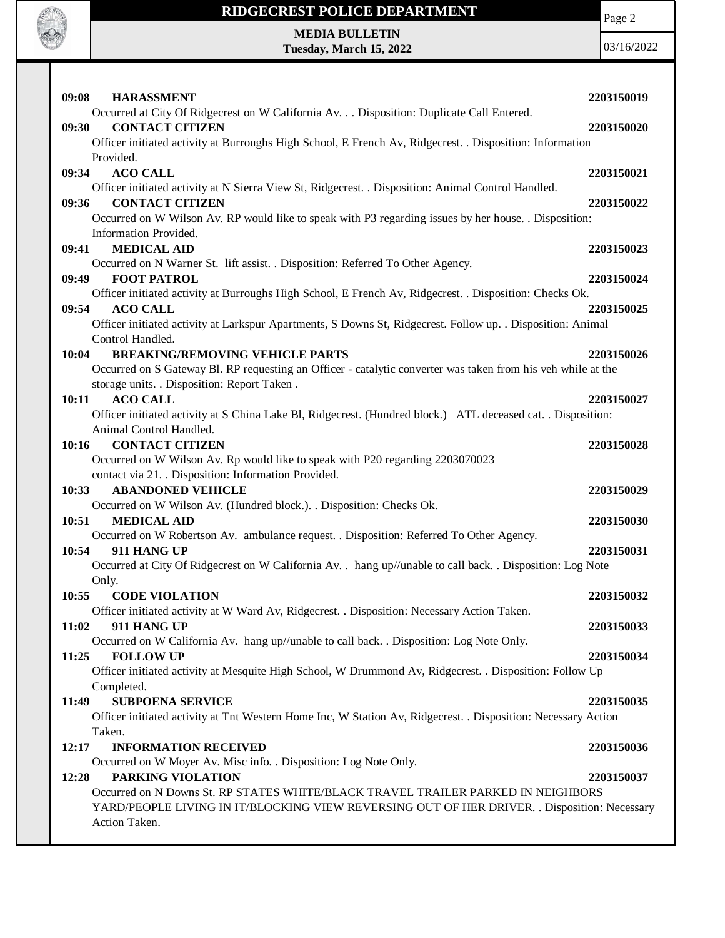

Page 2

**MEDIA BULLETIN Tuesday, March 15, 2022**

| 09:08<br><b>HARASSMENT</b>                                                                                    | 2203150019 |  |  |
|---------------------------------------------------------------------------------------------------------------|------------|--|--|
| Occurred at City Of Ridgecrest on W California Av. Disposition: Duplicate Call Entered.                       |            |  |  |
| <b>CONTACT CITIZEN</b><br>09:30                                                                               | 2203150020 |  |  |
| Officer initiated activity at Burroughs High School, E French Av, Ridgecrest. . Disposition: Information      |            |  |  |
| Provided.                                                                                                     |            |  |  |
| 09:34<br><b>ACO CALL</b>                                                                                      | 2203150021 |  |  |
| Officer initiated activity at N Sierra View St, Ridgecrest. . Disposition: Animal Control Handled.            |            |  |  |
| <b>CONTACT CITIZEN</b><br>09:36                                                                               | 2203150022 |  |  |
| Occurred on W Wilson Av. RP would like to speak with P3 regarding issues by her house. . Disposition:         |            |  |  |
| Information Provided.                                                                                         |            |  |  |
| 09:41<br><b>MEDICAL AID</b>                                                                                   | 2203150023 |  |  |
| Occurred on N Warner St. lift assist. . Disposition: Referred To Other Agency.                                |            |  |  |
| <b>FOOT PATROL</b><br>09:49                                                                                   | 2203150024 |  |  |
| Officer initiated activity at Burroughs High School, E French Av, Ridgecrest. . Disposition: Checks Ok.       |            |  |  |
| 09:54<br><b>ACO CALL</b>                                                                                      | 2203150025 |  |  |
| Officer initiated activity at Larkspur Apartments, S Downs St, Ridgecrest. Follow up. . Disposition: Animal   |            |  |  |
| Control Handled.                                                                                              |            |  |  |
| <b>BREAKING/REMOVING VEHICLE PARTS</b><br>10:04                                                               | 2203150026 |  |  |
| Occurred on S Gateway Bl. RP requesting an Officer - catalytic converter was taken from his veh while at the  |            |  |  |
| storage units. . Disposition: Report Taken.                                                                   |            |  |  |
| <b>ACO CALL</b><br>10:11                                                                                      | 2203150027 |  |  |
| Officer initiated activity at S China Lake Bl, Ridgecrest. (Hundred block.) ATL deceased cat. . Disposition:  |            |  |  |
| Animal Control Handled.                                                                                       |            |  |  |
| <b>CONTACT CITIZEN</b><br>10:16                                                                               | 2203150028 |  |  |
| Occurred on W Wilson Av. Rp would like to speak with P20 regarding 2203070023                                 |            |  |  |
| contact via 21. . Disposition: Information Provided.                                                          |            |  |  |
| <b>ABANDONED VEHICLE</b><br>10:33                                                                             | 2203150029 |  |  |
| Occurred on W Wilson Av. (Hundred block.). . Disposition: Checks Ok.                                          |            |  |  |
| 10:51<br><b>MEDICAL AID</b>                                                                                   | 2203150030 |  |  |
| Occurred on W Robertson Av. ambulance request. . Disposition: Referred To Other Agency.                       |            |  |  |
| 10:54<br>911 HANG UP                                                                                          | 2203150031 |  |  |
| Occurred at City Of Ridgecrest on W California Av. . hang up//unable to call back. . Disposition: Log Note    |            |  |  |
| Only.                                                                                                         |            |  |  |
| 10:55<br><b>CODE VIOLATION</b>                                                                                | 2203150032 |  |  |
| Officer initiated activity at W Ward Av, Ridgecrest. . Disposition: Necessary Action Taken.                   |            |  |  |
| 911 HANG UP<br>11:02                                                                                          | 2203150033 |  |  |
| Occurred on W California Av. hang up//unable to call back. . Disposition: Log Note Only.                      |            |  |  |
| 11:25<br><b>FOLLOW UP</b>                                                                                     | 2203150034 |  |  |
| Officer initiated activity at Mesquite High School, W Drummond Av, Ridgecrest. . Disposition: Follow Up       |            |  |  |
| Completed.                                                                                                    |            |  |  |
| <b>SUBPOENA SERVICE</b><br>11:49                                                                              | 2203150035 |  |  |
| Officer initiated activity at Tnt Western Home Inc, W Station Av, Ridgecrest. . Disposition: Necessary Action |            |  |  |
| Taken.                                                                                                        |            |  |  |
| 12:17<br><b>INFORMATION RECEIVED</b>                                                                          | 2203150036 |  |  |
| Occurred on W Moyer Av. Misc info. . Disposition: Log Note Only.                                              |            |  |  |
| PARKING VIOLATION<br>12:28                                                                                    | 2203150037 |  |  |
| Occurred on N Downs St. RP STATES WHITE/BLACK TRAVEL TRAILER PARKED IN NEIGHBORS                              |            |  |  |
| YARD/PEOPLE LIVING IN IT/BLOCKING VIEW REVERSING OUT OF HER DRIVER. . Disposition: Necessary                  |            |  |  |
| Action Taken.                                                                                                 |            |  |  |
|                                                                                                               |            |  |  |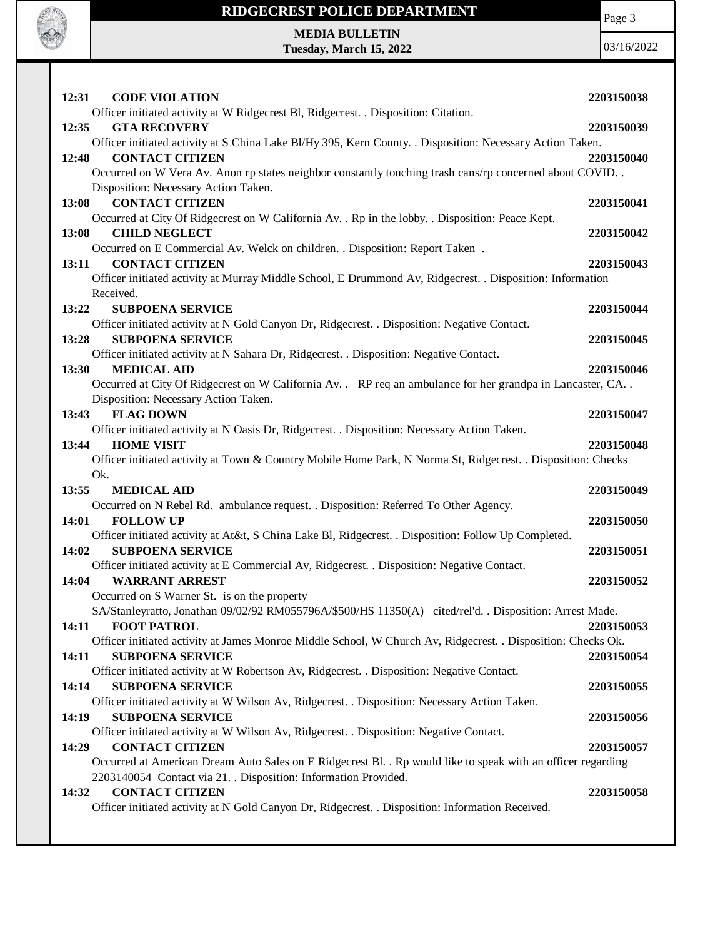

**MEDIA BULLETIN Tuesday, March 15, 2022** Page 3

| 12:31<br><b>CODE VIOLATION</b>                                                                                             | 2203150038 |
|----------------------------------------------------------------------------------------------------------------------------|------------|
| Officer initiated activity at W Ridgecrest Bl, Ridgecrest. . Disposition: Citation.                                        |            |
| 12:35<br><b>GTA RECOVERY</b>                                                                                               | 2203150039 |
| Officer initiated activity at S China Lake Bl/Hy 395, Kern County. . Disposition: Necessary Action Taken.                  |            |
| <b>CONTACT CITIZEN</b><br>12:48                                                                                            | 2203150040 |
| Occurred on W Vera Av. Anon rp states neighbor constantly touching trash cans/rp concerned about COVID                     |            |
| Disposition: Necessary Action Taken.<br><b>CONTACT CITIZEN</b><br>13:08                                                    | 2203150041 |
| Occurred at City Of Ridgecrest on W California Av. . Rp in the lobby. . Disposition: Peace Kept.                           |            |
| <b>CHILD NEGLECT</b><br>13:08                                                                                              | 2203150042 |
| Occurred on E Commercial Av. Welck on children. . Disposition: Report Taken.                                               |            |
| <b>CONTACT CITIZEN</b><br>13:11                                                                                            | 2203150043 |
| Officer initiated activity at Murray Middle School, E Drummond Av, Ridgecrest. . Disposition: Information                  |            |
| Received.                                                                                                                  |            |
| 13:22<br><b>SUBPOENA SERVICE</b>                                                                                           | 2203150044 |
| Officer initiated activity at N Gold Canyon Dr, Ridgecrest. . Disposition: Negative Contact.                               |            |
| 13:28<br><b>SUBPOENA SERVICE</b>                                                                                           | 2203150045 |
| Officer initiated activity at N Sahara Dr, Ridgecrest. . Disposition: Negative Contact.                                    |            |
| 13:30<br><b>MEDICAL AID</b>                                                                                                | 2203150046 |
| Occurred at City Of Ridgecrest on W California Av. . RP req an ambulance for her grandpa in Lancaster, CA. .               |            |
| Disposition: Necessary Action Taken.                                                                                       |            |
| <b>FLAG DOWN</b><br>13:43                                                                                                  | 2203150047 |
| Officer initiated activity at N Oasis Dr, Ridgecrest. . Disposition: Necessary Action Taken.<br><b>HOME VISIT</b><br>13:44 | 2203150048 |
| Officer initiated activity at Town & Country Mobile Home Park, N Norma St, Ridgecrest. . Disposition: Checks               |            |
|                                                                                                                            |            |
|                                                                                                                            |            |
| Ok.                                                                                                                        |            |
| 13:55<br><b>MEDICAL AID</b>                                                                                                | 2203150049 |
| Occurred on N Rebel Rd. ambulance request. . Disposition: Referred To Other Agency.<br>14:01<br><b>FOLLOW UP</b>           | 2203150050 |
| Officer initiated activity at At&t, S China Lake Bl, Ridgecrest. . Disposition: Follow Up Completed.                       |            |
| <b>SUBPOENA SERVICE</b><br>14:02                                                                                           | 2203150051 |
| Officer initiated activity at E Commercial Av, Ridgecrest. . Disposition: Negative Contact.                                |            |
| <b>WARRANT ARREST</b><br>14:04                                                                                             | 2203150052 |
| Occurred on S Warner St. is on the property                                                                                |            |
| SA/Stanleyratto, Jonathan 09/02/92 RM055796A/\$500/HS 11350(A) cited/rel'd. . Disposition: Arrest Made.                    |            |
| <b>FOOT PATROL</b><br>14:11                                                                                                | 2203150053 |
| Officer initiated activity at James Monroe Middle School, W Church Av, Ridgecrest. . Disposition: Checks Ok.               |            |
| <b>SUBPOENA SERVICE</b><br>14:11                                                                                           | 2203150054 |
| Officer initiated activity at W Robertson Av, Ridgecrest. . Disposition: Negative Contact.                                 |            |
| <b>SUBPOENA SERVICE</b><br>14:14                                                                                           | 2203150055 |
| Officer initiated activity at W Wilson Av, Ridgecrest. . Disposition: Necessary Action Taken.                              |            |
| 14:19<br><b>SUBPOENA SERVICE</b>                                                                                           | 2203150056 |
| Officer initiated activity at W Wilson Av, Ridgecrest. . Disposition: Negative Contact.<br>14:29<br><b>CONTACT CITIZEN</b> | 2203150057 |
| Occurred at American Dream Auto Sales on E Ridgecrest Bl. . Rp would like to speak with an officer regarding               |            |
| 2203140054 Contact via 21. . Disposition: Information Provided.                                                            |            |
| 14:32<br><b>CONTACT CITIZEN</b>                                                                                            | 2203150058 |
| Officer initiated activity at N Gold Canyon Dr, Ridgecrest. . Disposition: Information Received.                           |            |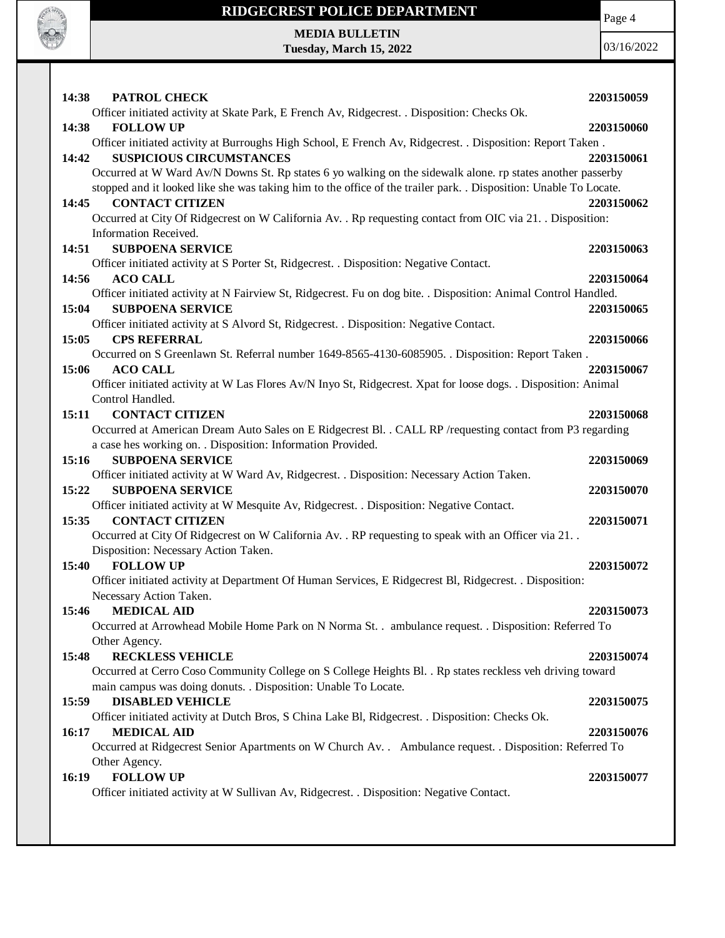

Page 4

**MEDIA BULLETIN Tuesday, March 15, 2022**

| 14:38<br>PATROL CHECK                                                                                             | 2203150059 |
|-------------------------------------------------------------------------------------------------------------------|------------|
| Officer initiated activity at Skate Park, E French Av, Ridgecrest. . Disposition: Checks Ok.                      |            |
| 14:38<br><b>FOLLOW UP</b>                                                                                         | 2203150060 |
| Officer initiated activity at Burroughs High School, E French Av, Ridgecrest. . Disposition: Report Taken.        |            |
| <b>SUSPICIOUS CIRCUMSTANCES</b><br>14:42                                                                          | 2203150061 |
| Occurred at W Ward Av/N Downs St. Rp states 6 yo walking on the sidewalk alone. rp states another passerby        |            |
| stopped and it looked like she was taking him to the office of the trailer park. . Disposition: Unable To Locate. |            |
| <b>CONTACT CITIZEN</b><br>14:45                                                                                   | 2203150062 |
| Occurred at City Of Ridgecrest on W California Av. . Rp requesting contact from OIC via 21. . Disposition:        |            |
| Information Received.                                                                                             |            |
| 14:51<br><b>SUBPOENA SERVICE</b>                                                                                  | 2203150063 |
| Officer initiated activity at S Porter St, Ridgecrest. . Disposition: Negative Contact.                           |            |
| <b>ACO CALL</b><br>14:56                                                                                          | 2203150064 |
| Officer initiated activity at N Fairview St, Ridgecrest. Fu on dog bite. . Disposition: Animal Control Handled.   |            |
| <b>SUBPOENA SERVICE</b><br>15:04                                                                                  | 2203150065 |
| Officer initiated activity at S Alvord St, Ridgecrest. . Disposition: Negative Contact.                           |            |
| 15:05<br><b>CPS REFERRAL</b>                                                                                      | 2203150066 |
| Occurred on S Greenlawn St. Referral number 1649-8565-4130-6085905. . Disposition: Report Taken.                  |            |
| 15:06<br><b>ACO CALL</b>                                                                                          | 2203150067 |
| Officer initiated activity at W Las Flores Av/N Inyo St, Ridgecrest. Xpat for loose dogs. . Disposition: Animal   |            |
| Control Handled.<br><b>CONTACT CITIZEN</b>                                                                        |            |
| 15:11                                                                                                             | 2203150068 |
| Occurred at American Dream Auto Sales on E Ridgecrest Bl. . CALL RP /requesting contact from P3 regarding         |            |
| a case hes working on. . Disposition: Information Provided.<br><b>SUBPOENA SERVICE</b><br>15:16                   | 2203150069 |
| Officer initiated activity at W Ward Av, Ridgecrest. . Disposition: Necessary Action Taken.                       |            |
| 15:22<br><b>SUBPOENA SERVICE</b>                                                                                  | 2203150070 |
| Officer initiated activity at W Mesquite Av, Ridgecrest. . Disposition: Negative Contact.                         |            |
| <b>CONTACT CITIZEN</b><br>15:35                                                                                   | 2203150071 |
| Occurred at City Of Ridgecrest on W California Av. . RP requesting to speak with an Officer via 21. .             |            |
| Disposition: Necessary Action Taken.                                                                              |            |
| 15:40<br><b>FOLLOW UP</b>                                                                                         | 2203150072 |
| Officer initiated activity at Department Of Human Services, E Ridgecrest Bl, Ridgecrest. . Disposition:           |            |
| Necessary Action Taken.                                                                                           |            |
| 15:46<br><b>MEDICAL AID</b>                                                                                       | 2203150073 |
| Occurred at Arrowhead Mobile Home Park on N Norma St. . ambulance request. . Disposition: Referred To             |            |
| Other Agency.                                                                                                     |            |
| <b>RECKLESS VEHICLE</b><br>15:48                                                                                  | 2203150074 |
| Occurred at Cerro Coso Community College on S College Heights Bl. . Rp states reckless veh driving toward         |            |
| main campus was doing donuts. . Disposition: Unable To Locate.                                                    |            |
| <b>DISABLED VEHICLE</b><br>15:59                                                                                  | 2203150075 |
| Officer initiated activity at Dutch Bros, S China Lake Bl, Ridgecrest. . Disposition: Checks Ok.                  |            |
| 16:17<br><b>MEDICAL AID</b>                                                                                       | 2203150076 |
| Occurred at Ridgecrest Senior Apartments on W Church Av. . Ambulance request. . Disposition: Referred To          |            |
| Other Agency.                                                                                                     |            |
| <b>FOLLOW UP</b><br>16:19                                                                                         | 2203150077 |
| Officer initiated activity at W Sullivan Av, Ridgecrest. . Disposition: Negative Contact.                         |            |
|                                                                                                                   |            |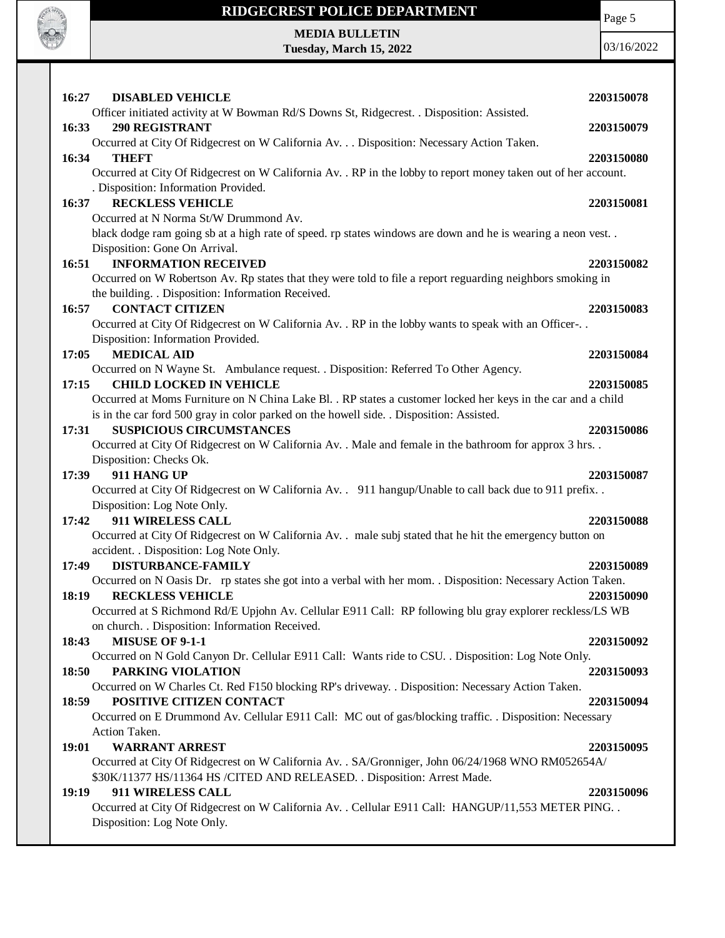